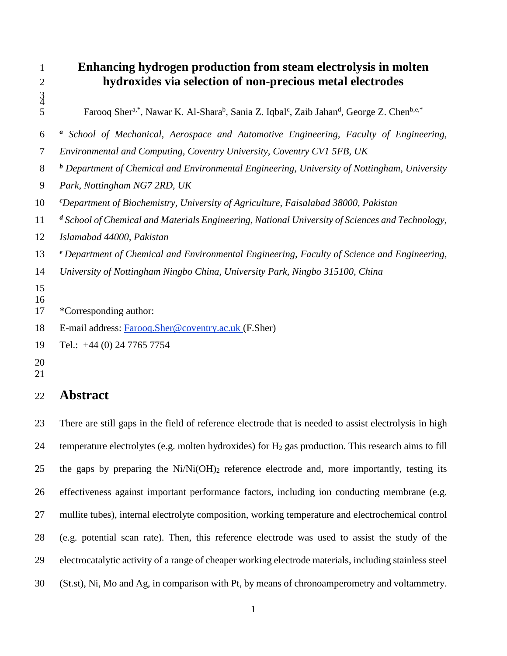## **Enhancing hydrogen production from steam electrolysis in molten hydroxides via selection of non-precious metal electrodes**

5 Farooq Sher<sup>a,\*</sup>, Nawar K. Al-Shara<sup>b</sup>, Sania Z. Iqbal<sup>c</sup>, Zaib Jahan<sup>d</sup>, George Z. Chen<sup>b,e,\*</sup>

- *<sup>a</sup> School of Mechanical, Aerospace and Automotive Engineering, Faculty of Engineering,*
- *Environmental and Computing, Coventry University, Coventry CV1 5FB, UK*
- *<sup>b</sup> Department of Chemical and Environmental Engineering, University of Nottingham, University*
- *Park, Nottingham NG7 2RD, UK*
- *<sup>c</sup>Department of Biochemistry, University of Agriculture, Faisalabad 38000, Pakistan*
- *<sup>d</sup> School of Chemical and Materials Engineering, National University of Sciences and Technology,*
- *Islamabad 44000, Pakistan*
- *<sup>e</sup> Department of Chemical and Environmental Engineering, Faculty of Science and Engineering,*
- *University of Nottingham Ningbo China, University Park, Ningbo 315100, China*
- 
- \*Corresponding author:
- E-mail address: [Farooq.Sher@coventry.ac.uk](mailto:Farooq.Sher@coventry.ac.uk) (F.Sher)
- Tel.: +44 (0) 24 7765 7754
- 
- **Abstract**

 There are still gaps in the field of reference electrode that is needed to assist electrolysis in high temperature electrolytes (e.g. molten hydroxides) for H<sup>2</sup> gas production. This research aims to fill 25 the gaps by preparing the  $Ni/Ni(OH)_2$  reference electrode and, more importantly, testing its effectiveness against important performance factors, including ion conducting membrane (e.g. mullite tubes), internal electrolyte composition, working temperature and electrochemical control (e.g. potential scan rate). Then, this reference electrode was used to assist the study of the electrocatalytic activity of a range of cheaper working electrode materials, including stainless steel (St.st), Ni, Mo and Ag, in comparison with Pt, by means of chronoamperometry and voltammetry.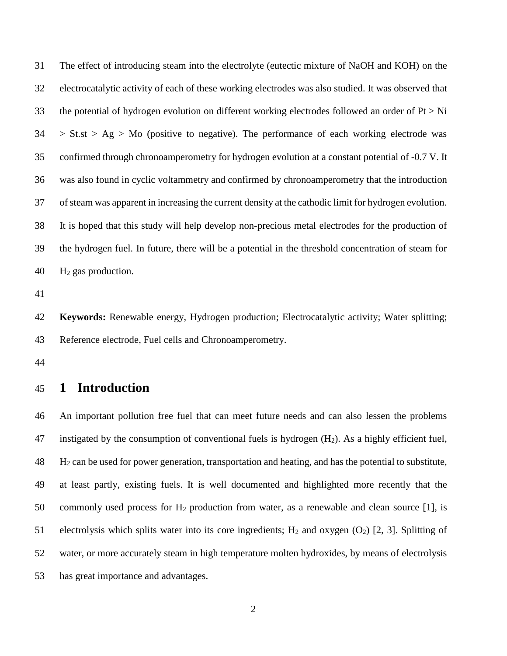The effect of introducing steam into the electrolyte (eutectic mixture of NaOH and KOH) on the electrocatalytic activity of each of these working electrodes was also studied. It was observed that 33 the potential of hydrogen evolution on different working electrodes followed an order of  $Pt > Ni$  > St.st > Ag > Mo (positive to negative). The performance of each working electrode was confirmed through chronoamperometry for hydrogen evolution at a constant potential of -0.7 V. It was also found in cyclic voltammetry and confirmed by chronoamperometry that the introduction of steam was apparent in increasing the current density at the cathodic limit for hydrogen evolution. It is hoped that this study will help develop non-precious metal electrodes for the production of the hydrogen fuel. In future, there will be a potential in the threshold concentration of steam for H<sup>2</sup> gas production.

 **Keywords:** Renewable energy, Hydrogen production; Electrocatalytic activity; Water splitting; Reference electrode, Fuel cells and Chronoamperometry.

## **1 Introduction**

 An important pollution free fuel that can meet future needs and can also lessen the problems 47 instigated by the consumption of conventional fuels is hydrogen  $(H_2)$ . As a highly efficient fuel, H<sub>2</sub> can be used for power generation, transportation and heating, and has the potential to substitute, at least partly, existing fuels. It is well documented and highlighted more recently that the 50 commonly used process for  $H_2$  production from water, as a renewable and clean source [1], is 51 electrolysis which splits water into its core ingredients;  $H_2$  and oxygen  $(O_2)$  [2, 3]. Splitting of water, or more accurately steam in high temperature molten hydroxides, by means of electrolysis has great importance and advantages.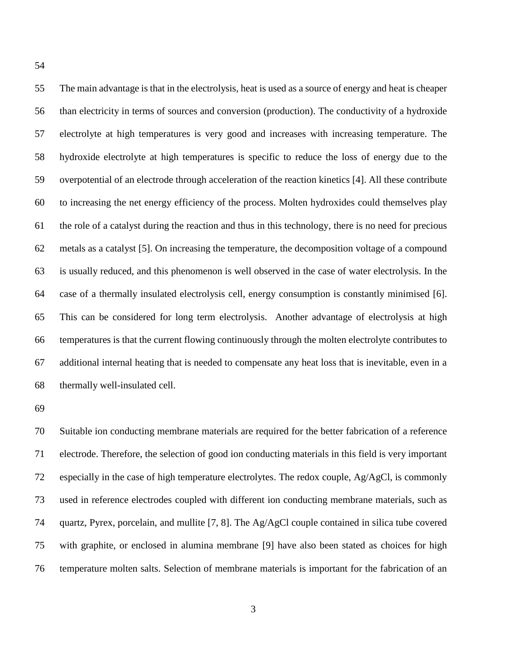The main advantage is that in the electrolysis, heat is used as a source of energy and heat is cheaper than electricity in terms of sources and conversion (production). The conductivity of a hydroxide electrolyte at high temperatures is very good and increases with increasing temperature. The hydroxide electrolyte at high temperatures is specific to reduce the loss of energy due to the overpotential of an electrode through acceleration of the reaction kinetics [4]. All these contribute to increasing the net energy efficiency of the process. Molten hydroxides could themselves play the role of a catalyst during the reaction and thus in this technology, there is no need for precious metals as a catalyst [5]. On increasing the temperature, the decomposition voltage of a compound is usually reduced, and this phenomenon is well observed in the case of water electrolysis. In the case of a thermally insulated electrolysis cell, energy consumption is constantly minimised [6]. This can be considered for long term electrolysis. Another advantage of electrolysis at high temperatures is that the current flowing continuously through the molten electrolyte contributes to additional internal heating that is needed to compensate any heat loss that is inevitable, even in a thermally well-insulated cell.

 Suitable ion conducting membrane materials are required for the better fabrication of a reference electrode. Therefore, the selection of good ion conducting materials in this field is very important especially in the case of high temperature electrolytes. The redox couple, Ag/AgCl, is commonly used in reference electrodes coupled with different ion conducting membrane materials, such as quartz, Pyrex, porcelain, and mullite [7, 8]. The Ag/AgCl couple contained in silica tube covered with graphite, or enclosed in alumina membrane [9] have also been stated as choices for high temperature molten salts. Selection of membrane materials is important for the fabrication of an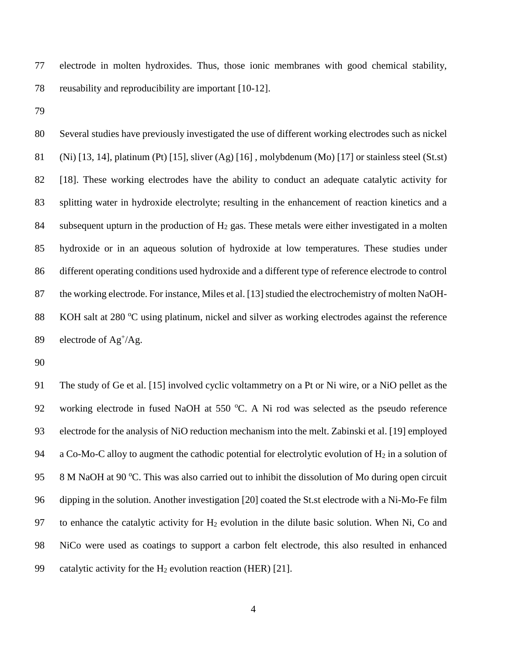electrode in molten hydroxides. Thus, those ionic membranes with good chemical stability, reusability and reproducibility are important [10-12].

 Several studies have previously investigated the use of different working electrodes such as nickel (Ni) [13, 14], platinum (Pt) [15], sliver (Ag) [16] , molybdenum (Mo) [17] or stainless steel (St.st) [18]. These working electrodes have the ability to conduct an adequate catalytic activity for splitting water in hydroxide electrolyte; resulting in the enhancement of reaction kinetics and a 84 subsequent upturn in the production of  $H_2$  gas. These metals were either investigated in a molten hydroxide or in an aqueous solution of hydroxide at low temperatures. These studies under different operating conditions used hydroxide and a different type of reference electrode to control the working electrode. For instance, Miles et al. [13] studied the electrochemistry of molten NaOH-88 KOH salt at 280 °C using platinum, nickel and silver as working electrodes against the reference 89 electrode of  $\text{Ag}^{+}/\text{Ag}$ .

 The study of Ge et al. [15] involved cyclic voltammetry on a Pt or Ni wire, or a NiO pellet as the 92 working electrode in fused NaOH at 550 °C. A Ni rod was selected as the pseudo reference electrode for the analysis of NiO reduction mechanism into the melt. Zabinski et al. [19] employed 94 a Co-Mo-C alloy to augment the cathodic potential for electrolytic evolution of  $H_2$  in a solution of 95 8 M NaOH at 90 °C. This was also carried out to inhibit the dissolution of Mo during open circuit dipping in the solution. Another investigation [20] coated the St.st electrode with a Ni-Mo-Fe film 97 to enhance the catalytic activity for  $H_2$  evolution in the dilute basic solution. When Ni, Co and NiCo were used as coatings to support a carbon felt electrode, this also resulted in enhanced 99 catalytic activity for the  $H_2$  evolution reaction (HER) [21].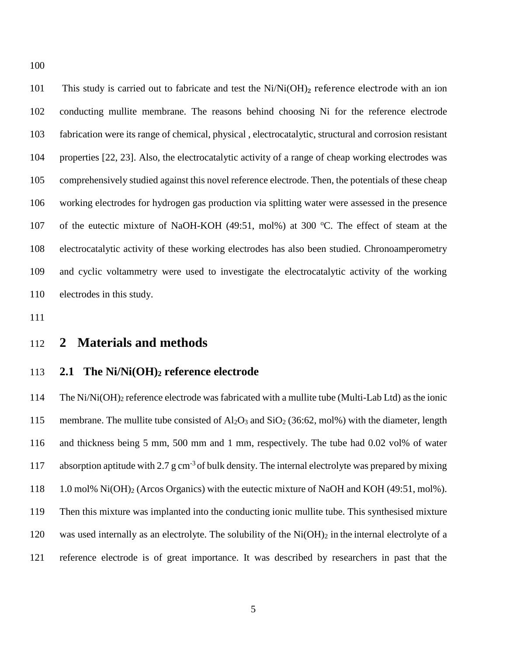101 This study is carried out to fabricate and test the Ni/Ni(OH)<sub>2</sub> reference electrode with an ion conducting mullite membrane. The reasons behind choosing Ni for the reference electrode fabrication were its range of chemical, physical , electrocatalytic, structural and corrosion resistant properties [22, 23]. Also, the electrocatalytic activity of a range of cheap working electrodes was comprehensively studied against this novel reference electrode. Then, the potentials of these cheap working electrodes for hydrogen gas production via splitting water were assessed in the presence 107 of the eutectic mixture of NaOH-KOH (49:51, mol%) at 300 °C. The effect of steam at the electrocatalytic activity of these working electrodes has also been studied. Chronoamperometry and cyclic voltammetry were used to investigate the electrocatalytic activity of the working electrodes in this study.

## **2 Materials and methods**

#### **2.1 The Ni/Ni(OH)<sup>2</sup> reference electrode**

 The Ni/Ni(OH)<sup>2</sup> reference electrode was fabricated with a mullite tube (Multi-Lab Ltd) as the ionic 115 membrane. The mullite tube consisted of  $Al_2O_3$  and  $SiO_2$  (36:62, mol%) with the diameter, length and thickness being 5 mm, 500 mm and 1 mm, respectively. The tube had 0.02 vol% of water 117 absorption aptitude with 2.7 g cm<sup>-3</sup> of bulk density. The internal electrolyte was prepared by mixing 1.0 mol% Ni(OH)<sup>2</sup> (Arcos Organics) with the eutectic mixture of NaOH and KOH (49:51, mol%). Then this mixture was implanted into the conducting ionic mullite tube. This synthesised mixture 120 was used internally as an electrolyte. The solubility of the  $Ni(OH)_2$  in the internal electrolyte of a reference electrode is of great importance. It was described by researchers in past that the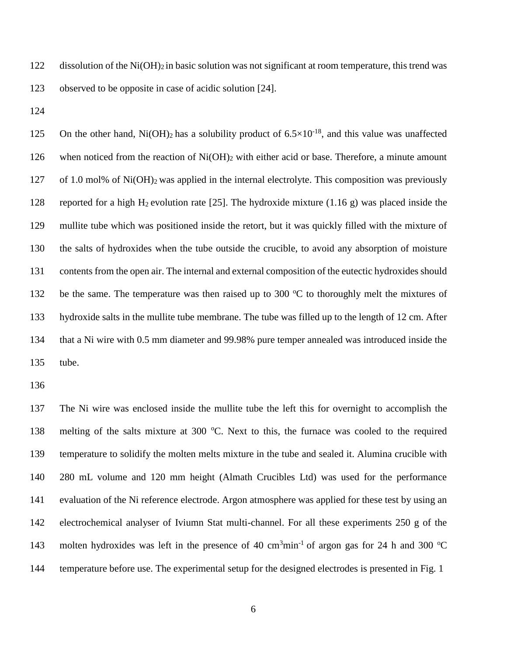122 dissolution of the  $Ni(OH)_2$  in basic solution was not significant at room temperature, this trend was observed to be opposite in case of acidic solution [24].

125 On the other hand, Ni(OH)<sub>2</sub> has a solubility product of  $6.5 \times 10^{-18}$ , and this value was unaffected when noticed from the reaction of Ni(OH)<sup>2</sup> with either acid or base. Therefore, a minute amount of 1.0 mol% of Ni(OH)2 was applied in the internal electrolyte. This composition was previously 128 reported for a high H<sub>2</sub> evolution rate [25]. The hydroxide mixture (1.16 g) was placed inside the mullite tube which was positioned inside the retort, but it was quickly filled with the mixture of the salts of hydroxides when the tube outside the crucible, to avoid any absorption of moisture contents from the open air. The internal and external composition of the eutectic hydroxides should 132 be the same. The temperature was then raised up to 300  $\degree$ C to thoroughly melt the mixtures of hydroxide salts in the mullite tube membrane. The tube was filled up to the length of 12 cm. After that a Ni wire with 0.5 mm diameter and 99.98% pure temper annealed was introduced inside the tube.

 The Ni wire was enclosed inside the mullite tube the left this for overnight to accomplish the 138 melting of the salts mixture at 300 °C. Next to this, the furnace was cooled to the required temperature to solidify the molten melts mixture in the tube and sealed it. Alumina crucible with 280 mL volume and 120 mm height (Almath Crucibles Ltd) was used for the performance evaluation of the Ni reference electrode. Argon atmosphere was applied for these test by using an electrochemical analyser of Iviumn Stat multi-channel. For all these experiments 250 g of the 143 molten hydroxides was left in the presence of 40  $cm<sup>3</sup>min<sup>-1</sup>$  of argon gas for 24 h and 300 °C temperature before use. The experimental setup for the designed electrodes is presented in [Fig. 1](#page-27-0)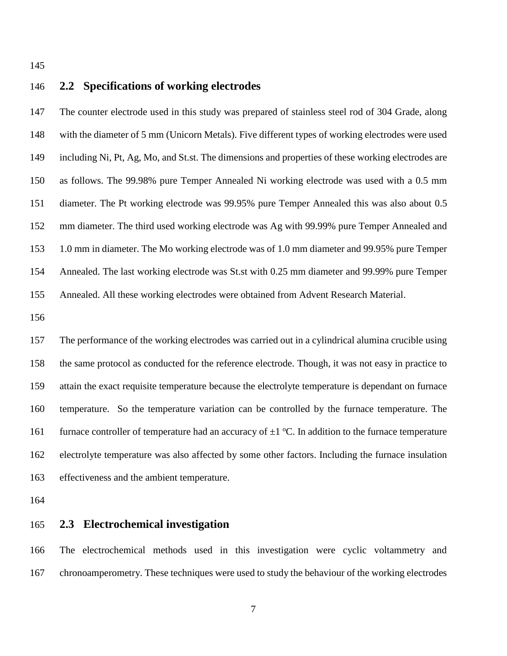#### **2.2 Specifications of working electrodes**

 The counter electrode used in this study was prepared of stainless steel rod of 304 Grade, along with the diameter of 5 mm (Unicorn Metals). Five different types of working electrodes were used including Ni, Pt, Ag, Mo, and St.st. The dimensions and properties of these working electrodes are as follows. The 99.98% pure Temper Annealed Ni working electrode was used with a 0.5 mm diameter. The Pt working electrode was 99.95% pure Temper Annealed this was also about 0.5 mm diameter. The third used working electrode was Ag with 99.99% pure Temper Annealed and 1.0 mm in diameter. The Mo working electrode was of 1.0 mm diameter and 99.95% pure Temper Annealed. The last working electrode was St.st with 0.25 mm diameter and 99.99% pure Temper Annealed. All these working electrodes were obtained from Advent Research Material.

 The performance of the working electrodes was carried out in a cylindrical alumina crucible using the same protocol as conducted for the reference electrode. Though, it was not easy in practice to attain the exact requisite temperature because the electrolyte temperature is dependant on furnace temperature. So the temperature variation can be controlled by the furnace temperature. The 161 furnace controller of temperature had an accuracy of  $\pm 1$  °C. In addition to the furnace temperature electrolyte temperature was also affected by some other factors. Including the furnace insulation effectiveness and the ambient temperature.

#### **2.3 Electrochemical investigation**

 The electrochemical methods used in this investigation were cyclic voltammetry and chronoamperometry. These techniques were used to study the behaviour of the working electrodes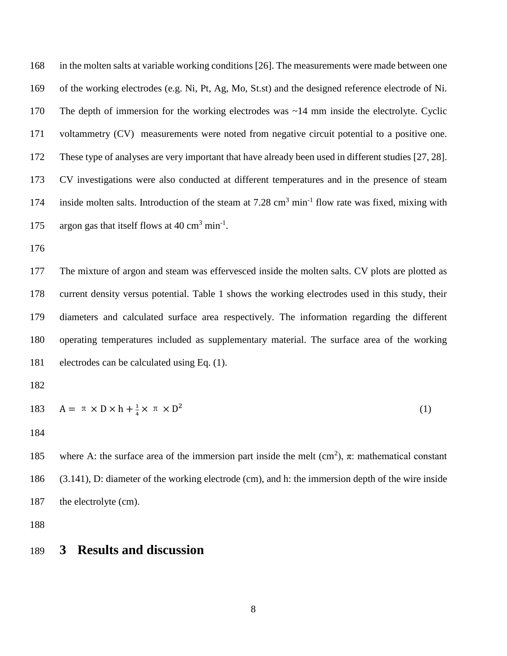in the molten salts at variable working conditions [26]. The measurements were made between one of the working electrodes (e.g. Ni, Pt, Ag, Mo, St.st) and the designed reference electrode of Ni. 170 The depth of immersion for the working electrodes was  $\sim$ 14 mm inside the electrolyte. Cyclic voltammetry (CV) measurements were noted from negative circuit potential to a positive one. These type of analyses are very important that have already been used in different studies [27, 28]. CV investigations were also conducted at different temperatures and in the presence of steam 174 inside molten salts. Introduction of the steam at 7.28 cm<sup>3</sup> min<sup>-1</sup> flow rate was fixed, mixing with 175 argon gas that itself flows at  $40 \text{ cm}^3 \text{ min}^{-1}$ .

 The mixture of argon and steam was effervesced inside the molten salts. CV plots are plotted as current density versus potential. [Table 1](#page-25-0) shows the working electrodes used in this study, their diameters and calculated surface area respectively. The information regarding the different operating temperatures included as supplementary material. The surface area of the working electrodes can be calculated using Eq. (1).

183 
$$
A = \pi \times D \times h + \frac{1}{4} \times \pi \times D^2
$$
 (1)

185 where A: the surface area of the immersion part inside the melt  $(cm^2)$ ,  $\pi$ : mathematical constant (3.141), D: diameter of the working electrode (cm), and h: the immersion depth of the wire inside 187 the electrolyte (cm).

## **3 Results and discussion**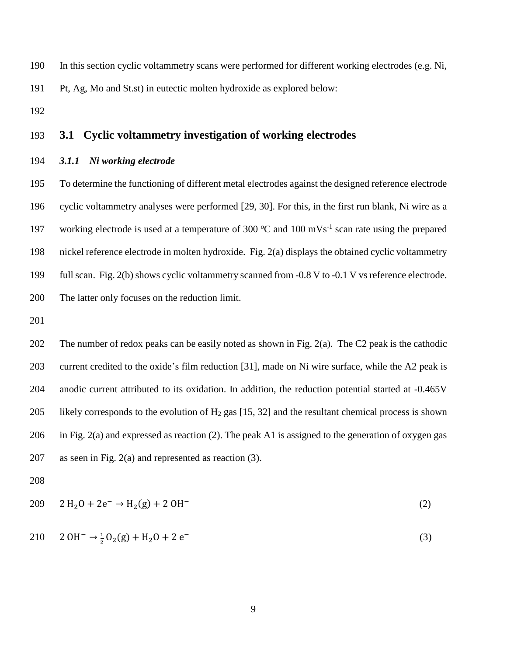- In this section cyclic voltammetry scans were performed for different working electrodes (e.g. Ni,
- Pt, Ag, Mo and St.st) in eutectic molten hydroxide as explored below:
- 

## **3.1 Cyclic voltammetry investigation of working electrodes**

#### *3.1.1 Ni working electrode*

 To determine the functioning of different metal electrodes against the designed reference electrode cyclic voltammetry analyses were performed [29, 30]. For this, in the first run blank, Ni wire as a 197 working electrode is used at a temperature of 300  $^{\circ}$ C and 100 mVs<sup>-1</sup> scan rate using the prepared nickel reference electrode in molten hydroxide. [Fig. 2\(](#page-28-0)a) displays the obtained cyclic voltammetry full scan. [Fig. 2\(](#page-28-0)b) shows cyclic voltammetry scanned from -0.8 V to -0.1 V vs reference electrode. The latter only focuses on the reduction limit.

 The number of redox peaks can be easily noted as shown in [Fig. 2\(](#page-28-0)a). The C2 peak is the cathodic current credited to the oxide's film reduction [31], made on Ni wire surface, while the A2 peak is anodic current attributed to its oxidation. In addition, the reduction potential started at -0.465V 205 likely corresponds to the evolution of  $H_2$  gas [15, 32] and the resultant chemical process is shown in [Fig. 2\(](#page-28-0)a) and expressed as reaction (2). The peak A1 is assigned to the generation of oxygen gas as seen in [Fig. 2\(](#page-28-0)a) and represented as reaction (3).

$$
209 \t 2 H20 + 2e^- \rightarrow H2(g) + 2 OH^-
$$
 (2)

$$
210 \t 20H^{-} \rightarrow \frac{1}{2}O_{2}(g) + H_{2}O + 2e^{-}
$$
 (3)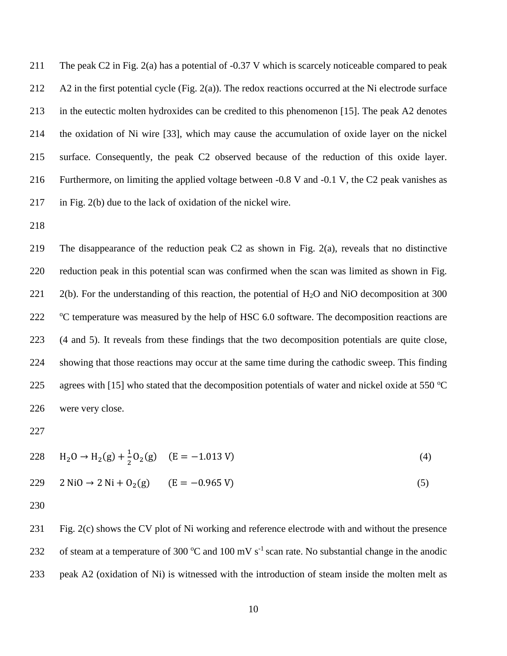The peak C2 in [Fig. 2\(](#page-28-0)a) has a potential of -0.37 V which is scarcely noticeable compared to peak A2 in the first potential cycle [\(Fig. 2\(](#page-28-0)a)). The redox reactions occurred at the Ni electrode surface in the eutectic molten hydroxides can be credited to this phenomenon [15]. The peak A2 denotes the oxidation of Ni wire [33], which may cause the accumulation of oxide layer on the nickel surface. Consequently, the peak C2 observed because of the reduction of this oxide layer. Furthermore, on limiting the applied voltage between -0.8 V and -0.1 V, the C2 peak vanishes as in [Fig. 2\(](#page-28-0)b) due to the lack of oxidation of the nickel wire.

 The disappearance of the reduction peak C2 as shown in [Fig. 2\(](#page-28-0)a), reveals that no distinctive reduction peak in this potential scan was confirmed when the scan was limited as shown in [Fig.](#page-28-0)  [2\(](#page-28-0)b). For the understanding of this reaction, the potential of  $H_2O$  and NiO decomposition at 300 <sup>o</sup>C temperature was measured by the help of HSC 6.0 software. The decomposition reactions are (4 and 5). It reveals from these findings that the two decomposition potentials are quite close, showing that those reactions may occur at the same time during the cathodic sweep. This finding 225 agrees with [15] who stated that the decomposition potentials of water and nickel oxide at 550  $\degree$ C were very close.

$$
228 \tH_2O \to H_2(g) + \frac{1}{2}O_2(g) \t(E = -1.013 \text{ V})
$$
\n(4)

$$
229 \t 2 NiO \to 2 Ni + O2(g) \t (E = -0.965 V)
$$
 (5)

 [Fig. 2\(](#page-28-0)c) shows the CV plot of Ni working and reference electrode with and without the presence 232 of steam at a temperature of 300  $^{\circ}$ C and 100 mV s<sup>-1</sup> scan rate. No substantial change in the anodic peak A2 (oxidation of Ni) is witnessed with the introduction of steam inside the molten melt as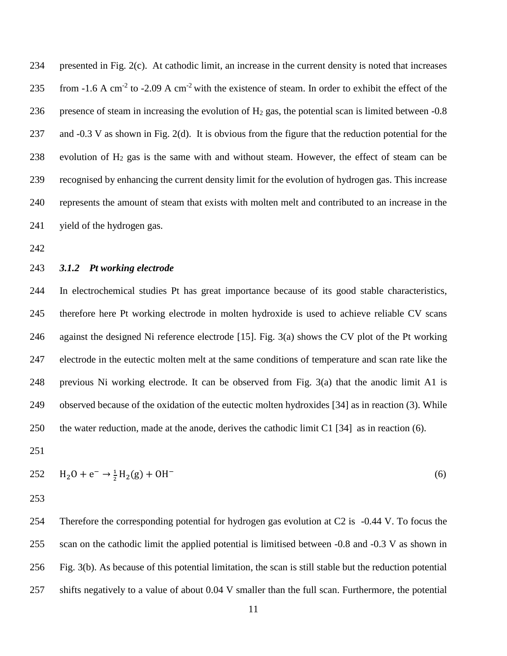presented in [Fig. 2\(](#page-28-0)c). At cathodic limit, an increase in the current density is noted that increases 235 from -1.6 A cm<sup>-2</sup> to -2.09 A cm<sup>-2</sup> with the existence of steam. In order to exhibit the effect of the 236 presence of steam in increasing the evolution of  $H_2$  gas, the potential scan is limited between  $-0.8$  and -0.3 V as shown in [Fig. 2\(](#page-28-0)d). It is obvious from the figure that the reduction potential for the 238 evolution of  $H_2$  gas is the same with and without steam. However, the effect of steam can be recognised by enhancing the current density limit for the evolution of hydrogen gas. This increase represents the amount of steam that exists with molten melt and contributed to an increase in the yield of the hydrogen gas.

#### *3.1.2 Pt working electrode*

 In electrochemical studies Pt has great importance because of its good stable characteristics, therefore here Pt working electrode in molten hydroxide is used to achieve reliable CV scans against the designed Ni reference electrode [15]. [Fig. 3\(](#page-29-0)a) shows the CV plot of the Pt working electrode in the eutectic molten melt at the same conditions of temperature and scan rate like the previous Ni working electrode. It can be observed from [Fig. 3\(](#page-29-0)a) that the anodic limit A1 is observed because of the oxidation of the eutectic molten hydroxides [34] as in reaction (3). While the water reduction, made at the anode, derives the cathodic limit C1 [34] as in reaction (6).

$$
252 \tH_2O + e^- \rightarrow \frac{1}{2}H_2(g) + OH^-
$$
 (6)

 Therefore the corresponding potential for hydrogen gas evolution at C2 is -0.44 V. To focus the scan on the cathodic limit the applied potential is limitised between -0.8 and -0.3 V as shown in [Fig. 3\(](#page-29-0)b). As because of this potential limitation, the scan is still stable but the reduction potential shifts negatively to a value of about 0.04 V smaller than the full scan. Furthermore, the potential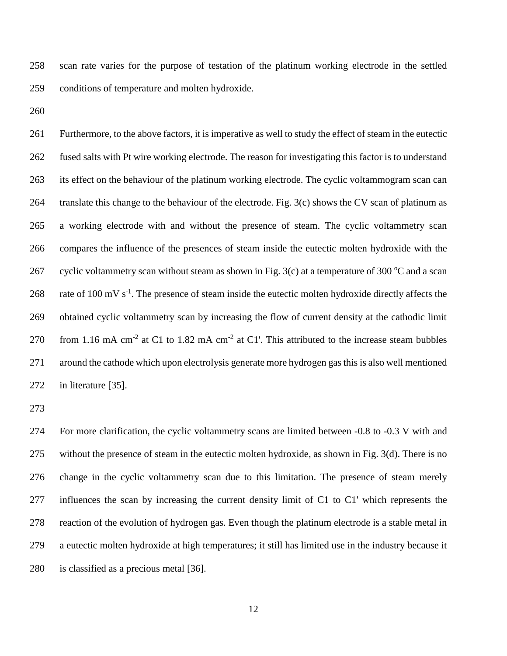scan rate varies for the purpose of testation of the platinum working electrode in the settled conditions of temperature and molten hydroxide.

 Furthermore, to the above factors, it is imperative as well to study the effect of steam in the eutectic fused salts with Pt wire working electrode. The reason for investigating this factor is to understand its effect on the behaviour of the platinum working electrode. The cyclic voltammogram scan can translate this change to the behaviour of the electrode. [Fig. 3\(](#page-29-0)c) shows the CV scan of platinum as a working electrode with and without the presence of steam. The cyclic voltammetry scan compares the influence of the presences of steam inside the eutectic molten hydroxide with the 267 cyclic voltammetry scan without steam as shown in [Fig. 3\(](#page-29-0)c) at a temperature of 300 °C and a scan 268 rate of 100 mV  $s^{-1}$ . The presence of steam inside the eutectic molten hydroxide directly affects the obtained cyclic voltammetry scan by increasing the flow of current density at the cathodic limit 270 from 1.16 mA cm<sup>-2</sup> at C1 to 1.82 mA cm<sup>-2</sup> at C1'. This attributed to the increase steam bubbles around the cathode which upon electrolysis generate more hydrogen gas this is also well mentioned in literature [35].

 For more clarification, the cyclic voltammetry scans are limited between -0.8 to -0.3 V with and without the presence of steam in the eutectic molten hydroxide, as shown in [Fig. 3\(](#page-29-0)d). There is no change in the cyclic voltammetry scan due to this limitation. The presence of steam merely influences the scan by increasing the current density limit of C1 to C1' which represents the reaction of the evolution of hydrogen gas. Even though the platinum electrode is a stable metal in a eutectic molten hydroxide at high temperatures; it still has limited use in the industry because it is classified as a precious metal [36].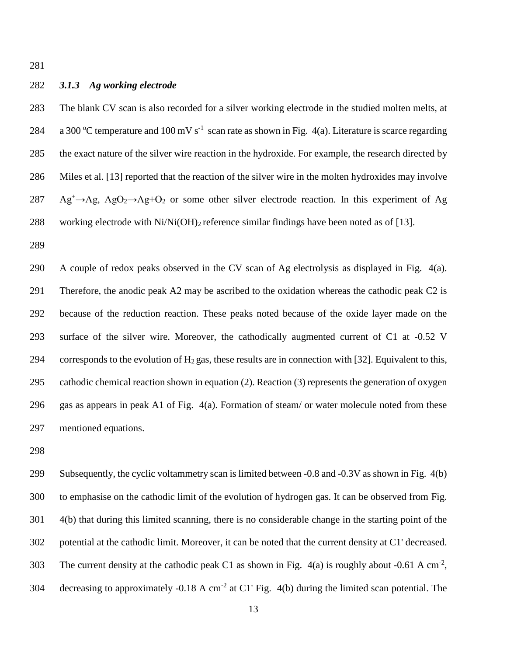#### *3.1.3 Ag working electrode*

 The blank CV scan is also recorded for a silver working electrode in the studied molten melts, at 284 a 300 °C temperature and 100 mV s<sup>-1</sup> scan rate as shown in [Fig. 4\(](#page-30-0)a). Literature is scarce regarding the exact nature of the silver wire reaction in the hydroxide. For example, the research directed by Miles et al. [13] reported that the reaction of the silver wire in the molten hydroxides may involve Ag<sup>+</sup> $\rightarrow$ Ag, AgO<sub>2</sub> $\rightarrow$ Ag+O<sub>2</sub> or some other silver electrode reaction. In this experiment of Ag 288 working electrode with  $Ni/Ni(OH)_2$  reference similar findings have been noted as of [13].

 A couple of redox peaks observed in the CV scan of Ag electrolysis as displayed in [Fig. 4\(](#page-30-0)a). Therefore, the anodic peak A2 may be ascribed to the oxidation whereas the cathodic peak C2 is because of the reduction reaction. These peaks noted because of the oxide layer made on the surface of the silver wire. Moreover, the cathodically augmented current of C1 at -0.52 V 294 corresponds to the evolution of  $H_2$  gas, these results are in connection with [32]. Equivalent to this, cathodic chemical reaction shown in equation (2). Reaction (3) represents the generation of oxygen gas as appears in peak A1 of [Fig. 4\(](#page-30-0)a). Formation of steam/ or water molecule noted from these mentioned equations.

 Subsequently, the cyclic voltammetry scan is limited between -0.8 and -0.3V as shown in [Fig. 4\(](#page-30-0)b) to emphasise on the cathodic limit of the evolution of hydrogen gas. It can be observed from [Fig.](#page-30-0)  [4\(](#page-30-0)b) that during this limited scanning, there is no considerable change in the starting point of the potential at the cathodic limit. Moreover, it can be noted that the current density at C1' decreased. 303 The current density at the cathodic peak C1 as shown in Fig.  $4(a)$  is roughly about -0.61 A cm<sup>-2</sup>, 304 decreasing to approximately -0.18 A cm<sup>-2</sup> at C1' Fig.  $4(b)$  during the limited scan potential. The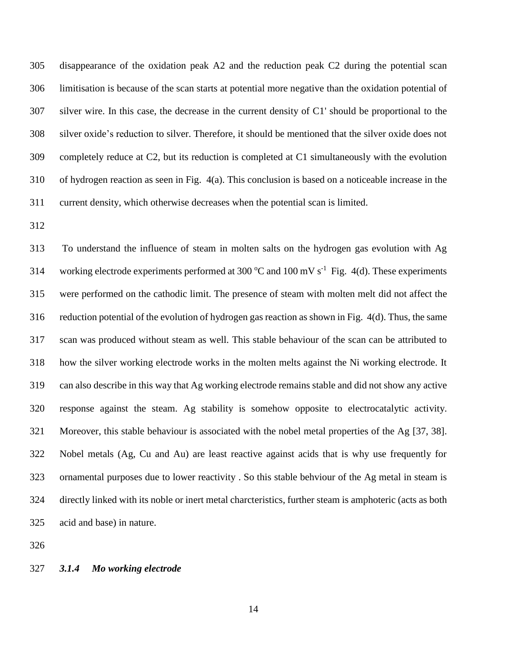disappearance of the oxidation peak A2 and the reduction peak C2 during the potential scan limitisation is because of the scan starts at potential more negative than the oxidation potential of silver wire. In this case, the decrease in the current density of C1' should be proportional to the silver oxide's reduction to silver. Therefore, it should be mentioned that the silver oxide does not completely reduce at C2, but its reduction is completed at C1 simultaneously with the evolution of hydrogen reaction as seen in [Fig. 4\(](#page-30-0)a). This conclusion is based on a noticeable increase in the current density, which otherwise decreases when the potential scan is limited.

 To understand the influence of steam in molten salts on the hydrogen gas evolution with Ag 314 working electrode experiments performed at 300  $^{\circ}$ C and 100 mV s<sup>-1</sup> [Fig. 4\(](#page-30-0)d). These experiments were performed on the cathodic limit. The presence of steam with molten melt did not affect the reduction potential of the evolution of hydrogen gas reaction as shown in [Fig. 4\(](#page-30-0)d). Thus, the same scan was produced without steam as well. This stable behaviour of the scan can be attributed to how the silver working electrode works in the molten melts against the Ni working electrode. It can also describe in this way that Ag working electrode remains stable and did not show any active response against the steam. Ag stability is somehow opposite to electrocatalytic activity. Moreover, this stable behaviour is associated with the nobel metal properties of the Ag [37, 38]. Nobel metals (Ag, Cu and Au) are least reactive against acids that is why use frequently for ornamental purposes due to lower reactivity . So this stable behviour of the Ag metal in steam is directly linked with its noble or inert metal charcteristics, further steam is amphoteric (acts as both acid and base) in nature.

#### *3.1.4 Mo working electrode*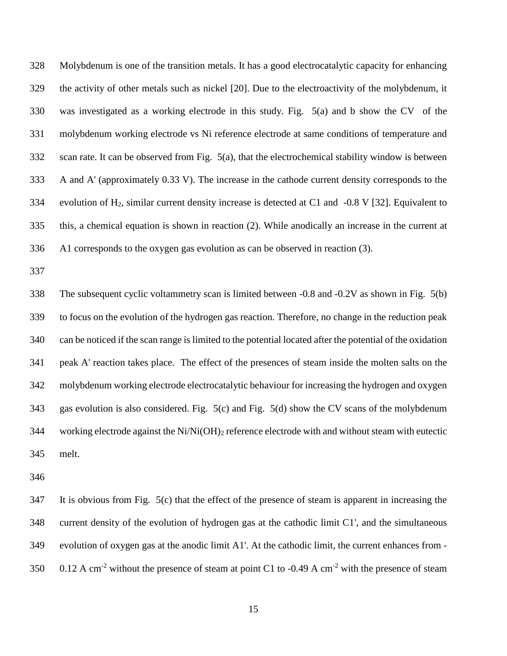Molybdenum is one of the transition metals. It has a good electrocatalytic capacity for enhancing the activity of other metals such as nickel [20]. Due to the electroactivity of the molybdenum, it was investigated as a working electrode in this study. [Fig. 5\(](#page-31-0)a) and b show the CV of the molybdenum working electrode vs Ni reference electrode at same conditions of temperature and scan rate. It can be observed from [Fig. 5\(](#page-31-0)a), that the electrochemical stability window is between A and A' (approximately 0.33 V). The increase in the cathode current density corresponds to the evolution of H2, similar current density increase is detected at C1 and -0.8 V [32]. Equivalent to this, a chemical equation is shown in reaction (2). While anodically an increase in the current at A1 corresponds to the oxygen gas evolution as can be observed in reaction (3).

 The subsequent cyclic voltammetry scan is limited between -0.8 and -0.2V as shown in [Fig. 5\(](#page-31-0)b) to focus on the evolution of the hydrogen gas reaction. Therefore, no change in the reduction peak can be noticed if the scan range is limited to the potential located after the potential of the oxidation peak A' reaction takes place. The effect of the presences of steam inside the molten salts on the molybdenum working electrode electrocatalytic behaviour for increasing the hydrogen and oxygen gas evolution is also considered. [Fig. 5\(](#page-31-0)c) and [Fig. 5\(](#page-31-0)d) show the CV scans of the molybdenum working electrode against the Ni/Ni(OH)<sup>2</sup> reference electrode with and without steam with eutectic melt.

 It is obvious from [Fig. 5\(](#page-31-0)c) that the effect of the presence of steam is apparent in increasing the current density of the evolution of hydrogen gas at the cathodic limit C1', and the simultaneous evolution of oxygen gas at the anodic limit A1'. At the cathodic limit, the current enhances from - 350 0.12 A cm<sup>-2</sup> without the presence of steam at point C1 to -0.49 A cm<sup>-2</sup> with the presence of steam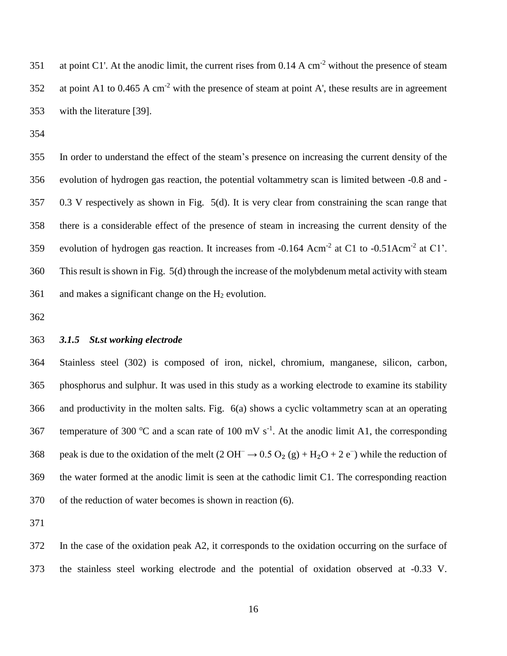351 at point C1'. At the anodic limit, the current rises from  $0.14 \text{ A cm}^2$  without the presence of steam 352 at point A1 to 0.465 A cm<sup>-2</sup> with the presence of steam at point A', these results are in agreement with the literature [39].

 In order to understand the effect of the steam's presence on increasing the current density of the evolution of hydrogen gas reaction, the potential voltammetry scan is limited between -0.8 and - 0.3 V respectively as shown in [Fig. 5\(](#page-31-0)d). It is very clear from constraining the scan range that there is a considerable effect of the presence of steam in increasing the current density of the 359 evolution of hydrogen gas reaction. It increases from  $-0.164$  Acm<sup>-2</sup> at C1 to  $-0.51$ Acm<sup>-2</sup> at C1'. This result is shown i[n Fig. 5\(](#page-31-0)d) through the increase of the molybdenum metal activity with steam 361 and makes a significant change on the  $H_2$  evolution.

#### *3.1.5 St.st working electrode*

 Stainless steel (302) is composed of iron, nickel, chromium, manganese, silicon, carbon, phosphorus and sulphur. It was used in this study as a working electrode to examine its stability and productivity in the molten salts. [Fig. 6\(](#page-32-0)a) shows a cyclic voltammetry scan at an operating 367 temperature of 300 °C and a scan rate of 100 mV s<sup>-1</sup>. At the anodic limit A1, the corresponding 368 peak is due to the oxidation of the melt  $(2 \text{OH}^- \rightarrow 0.5 \text{ O}_2 \text{ (g)} + \text{H}_2\text{O} + 2 \text{ e}^-)$  while the reduction of the water formed at the anodic limit is seen at the cathodic limit C1. The corresponding reaction of the reduction of water becomes is shown in reaction (6).

 In the case of the oxidation peak A2, it corresponds to the oxidation occurring on the surface of the stainless steel working electrode and the potential of oxidation observed at -0.33 V.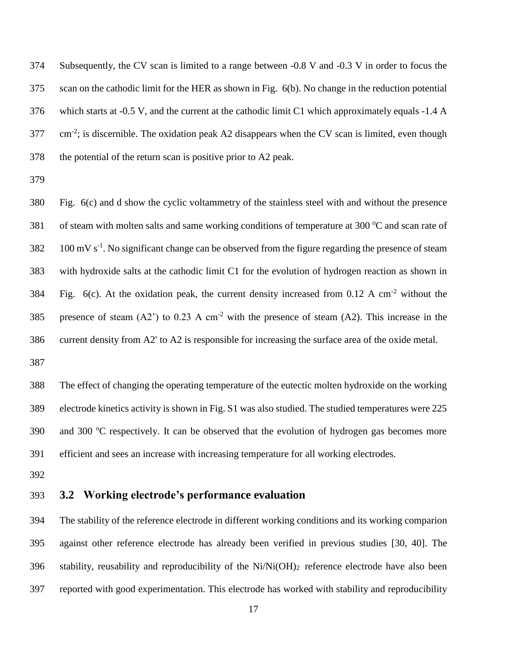Subsequently, the CV scan is limited to a range between -0.8 V and -0.3 V in order to focus the scan on the cathodic limit for the HER as shown in [Fig. 6\(](#page-32-0)b). No change in the reduction potential which starts at -0.5 V, and the current at the cathodic limit C1 which approximately equals -1.4 A  $277 \text{ cm}^2$ ; is discernible. The oxidation peak A2 disappears when the CV scan is limited, even though the potential of the return scan is positive prior to A2 peak.

 [Fig. 6\(](#page-32-0)c) and d show the cyclic voltammetry of the stainless steel with and without the presence 381 of steam with molten salts and same working conditions of temperature at 300 °C and scan rate of  $100 \text{ mV s}^{-1}$ . No significant change can be observed from the figure regarding the presence of steam with hydroxide salts at the cathodic limit C1 for the evolution of hydrogen reaction as shown in 384 Fig.  $6(c)$ . At the oxidation peak, the current density increased from 0.12 A cm<sup>-2</sup> without the 385 presence of steam  $(A2')$  to 0.23 A cm<sup>-2</sup> with the presence of steam  $(A2)$ . This increase in the current density from A2' to A2 is responsible for increasing the surface area of the oxide metal. 

 The effect of changing the operating temperature of the eutectic molten hydroxide on the working electrode kinetics activity is shown in Fig. S1 was also studied. The studied temperatures were 225 390 and 300 °C respectively. It can be observed that the evolution of hydrogen gas becomes more efficient and sees an increase with increasing temperature for all working electrodes.

### **3.2 Working electrode's performance evaluation**

 The stability of the reference electrode in different working conditions and its working comparion against other reference electrode has already been verified in previous studies [30, 40]. The 396 stability, reusability and reproducibility of the Ni/Ni(OH)<sub>2</sub> reference electrode have also been reported with good experimentation. This electrode has worked with stability and reproducibility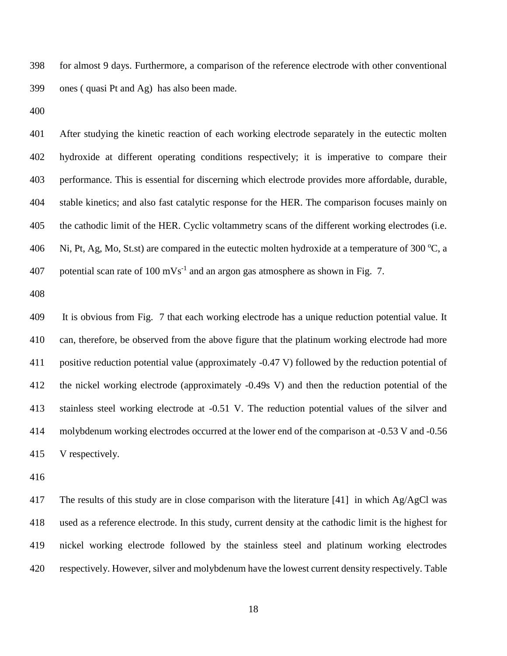for almost 9 days. Furthermore, a comparison of the reference electrode with other conventional ones ( quasi Pt and Ag) has also been made.

 After studying the kinetic reaction of each working electrode separately in the eutectic molten hydroxide at different operating conditions respectively; it is imperative to compare their performance. This is essential for discerning which electrode provides more affordable, durable, stable kinetics; and also fast catalytic response for the HER. The comparison focuses mainly on the cathodic limit of the HER. Cyclic voltammetry scans of the different working electrodes (i.e. 406 Ni, Pt, Ag, Mo, St.st) are compared in the eutectic molten hydroxide at a temperature of 300 °C, a 407 potential scan rate of 100 mVs<sup>-1</sup> and an argon gas atmosphere as shown in [Fig. 7.](#page-33-0)

 It is obvious from [Fig. 7](#page-33-0) that each working electrode has a unique reduction potential value. It can, therefore, be observed from the above figure that the platinum working electrode had more positive reduction potential value (approximately -0.47 V) followed by the reduction potential of the nickel working electrode (approximately -0.49s V) and then the reduction potential of the stainless steel working electrode at -0.51 V. The reduction potential values of the silver and molybdenum working electrodes occurred at the lower end of the comparison at -0.53 V and -0.56 V respectively.

 The results of this study are in close comparison with the literature [41] in which Ag/AgCl was used as a reference electrode. In this study, current density at the cathodic limit is the highest for nickel working electrode followed by the stainless steel and platinum working electrodes respectively. However, silver and molybdenum have the lowest current density respectively. [Table](#page-26-0)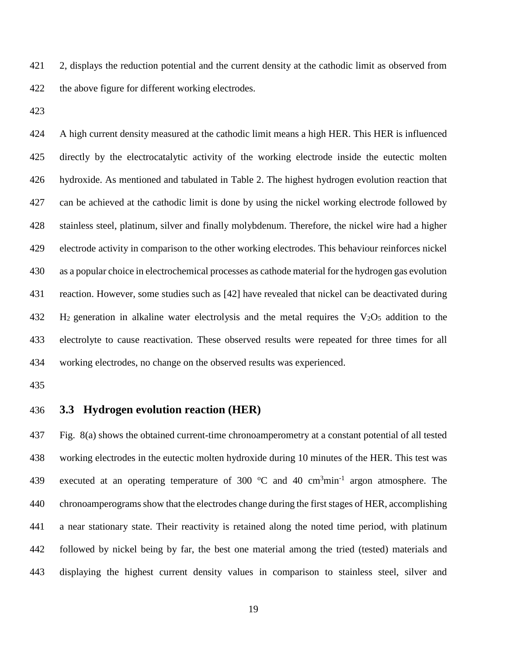[2,](#page-26-0) displays the reduction potential and the current density at the cathodic limit as observed from the above figure for different working electrodes.

 A high current density measured at the cathodic limit means a high HER. This HER is influenced directly by the electrocatalytic activity of the working electrode inside the eutectic molten hydroxide. As mentioned and tabulated in [Table 2.](#page-26-0) The highest hydrogen evolution reaction that can be achieved at the cathodic limit is done by using the nickel working electrode followed by stainless steel, platinum, silver and finally molybdenum. Therefore, the nickel wire had a higher electrode activity in comparison to the other working electrodes. This behaviour reinforces nickel as a popular choice in electrochemical processes as cathode material for the hydrogen gas evolution reaction. However, some studies such as [42] have revealed that nickel can be deactivated during H<sub>2</sub> generation in alkaline water electrolysis and the metal requires the V<sub>2</sub>O<sub>5</sub> addition to the electrolyte to cause reactivation. These observed results were repeated for three times for all working electrodes, no change on the observed results was experienced.

#### **3.3 Hydrogen evolution reaction (HER)**

 [Fig. 8\(](#page-34-0)a) shows the obtained current-time chronoamperometry at a constant potential of all tested working electrodes in the eutectic molten hydroxide during 10 minutes of the HER. This test was 439 executed at an operating temperature of 300  $^{\circ}$ C and 40 cm<sup>3</sup>min<sup>-1</sup> argon atmosphere. The chronoamperograms show that the electrodes change during the first stages of HER, accomplishing a near stationary state. Their reactivity is retained along the noted time period, with platinum followed by nickel being by far, the best one material among the tried (tested) materials and displaying the highest current density values in comparison to stainless steel, silver and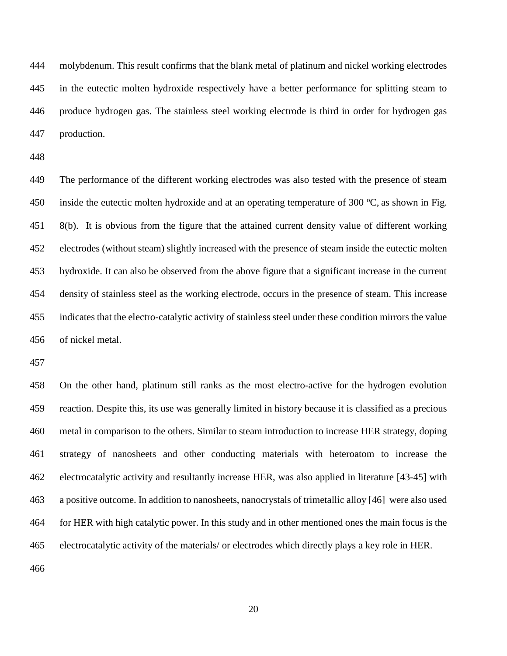molybdenum. This result confirms that the blank metal of platinum and nickel working electrodes in the eutectic molten hydroxide respectively have a better performance for splitting steam to produce hydrogen gas. The stainless steel working electrode is third in order for hydrogen gas production.

 The performance of the different working electrodes was also tested with the presence of steam 450 inside the eutectic molten hydroxide and at an operating temperature of 300  $\degree$ C, as shown in Fig. [8\(](#page-34-0)b). It is obvious from the figure that the attained current density value of different working electrodes (without steam) slightly increased with the presence of steam inside the eutectic molten hydroxide. It can also be observed from the above figure that a significant increase in the current density of stainless steel as the working electrode, occurs in the presence of steam. This increase indicates that the electro-catalytic activity of stainless steel under these condition mirrors the value of nickel metal.

 On the other hand, platinum still ranks as the most electro-active for the hydrogen evolution reaction. Despite this, its use was generally limited in history because it is classified as a precious metal in comparison to the others. Similar to steam introduction to increase HER strategy, doping strategy of nanosheets and other conducting materials with heteroatom to increase the electrocatalytic activity and resultantly increase HER, was also applied in literature [43-45] with a positive outcome. In addition to nanosheets, nanocrystals of trimetallic alloy [46] were also used for HER with high catalytic power. In this study and in other mentioned ones the main focus is the electrocatalytic activity of the materials/ or electrodes which directly plays a key role in HER.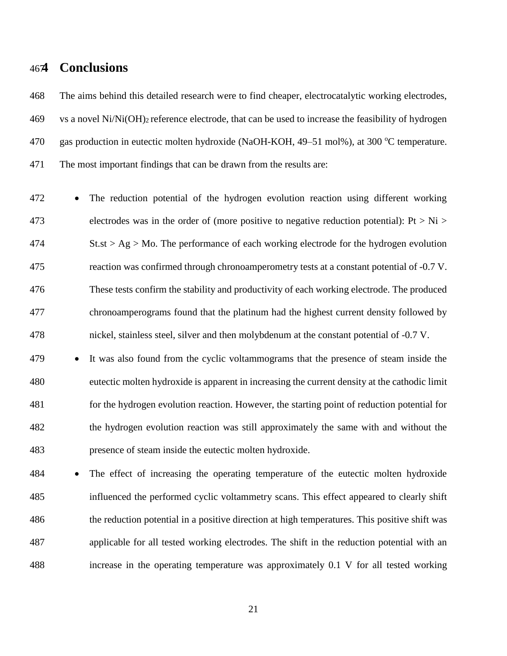## **4 Conclusions**

 The aims behind this detailed research were to find cheaper, electrocatalytic working electrodes, vs a novel Ni/Ni(OH)2 reference electrode, that can be used to increase the feasibility of hydrogen 470 gas production in eutectic molten hydroxide (NaOH-KOH, 49–51 mol%), at 300 °C temperature. The most important findings that can be drawn from the results are:

 The reduction potential of the hydrogen evolution reaction using different working 473 electrodes was in the order of (more positive to negative reduction potential): Pt  $> Ni$  St.st > Ag > Mo. The performance of each working electrode for the hydrogen evolution reaction was confirmed through chronoamperometry tests at a constant potential of -0.7 V. These tests confirm the stability and productivity of each working electrode. The produced chronoamperograms found that the platinum had the highest current density followed by nickel, stainless steel, silver and then molybdenum at the constant potential of -0.7 V.

 It was also found from the cyclic voltammograms that the presence of steam inside the eutectic molten hydroxide is apparent in increasing the current density at the cathodic limit for the hydrogen evolution reaction. However, the starting point of reduction potential for the hydrogen evolution reaction was still approximately the same with and without the presence of steam inside the eutectic molten hydroxide.

 The effect of increasing the operating temperature of the eutectic molten hydroxide influenced the performed cyclic voltammetry scans. This effect appeared to clearly shift the reduction potential in a positive direction at high temperatures. This positive shift was applicable for all tested working electrodes. The shift in the reduction potential with an increase in the operating temperature was approximately 0.1 V for all tested working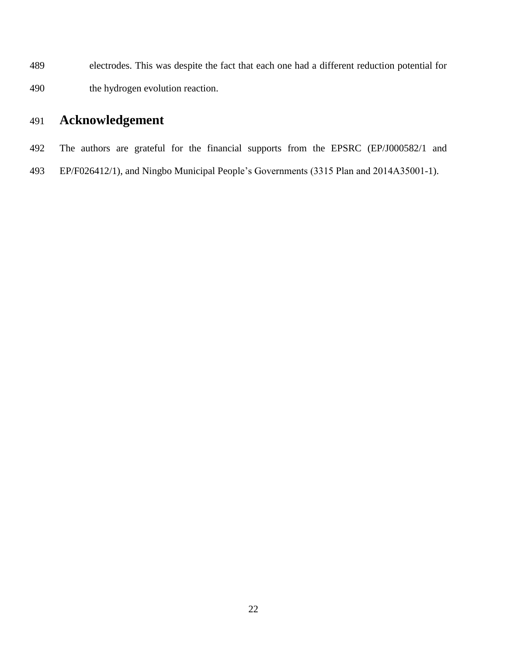electrodes. This was despite the fact that each one had a different reduction potential for the hydrogen evolution reaction.

# **Acknowledgement**

- The authors are grateful for the financial supports from the EPSRC (EP/J000582/1 and
- EP/F026412/1), and Ningbo Municipal People's Governments (3315 Plan and 2014A35001-1).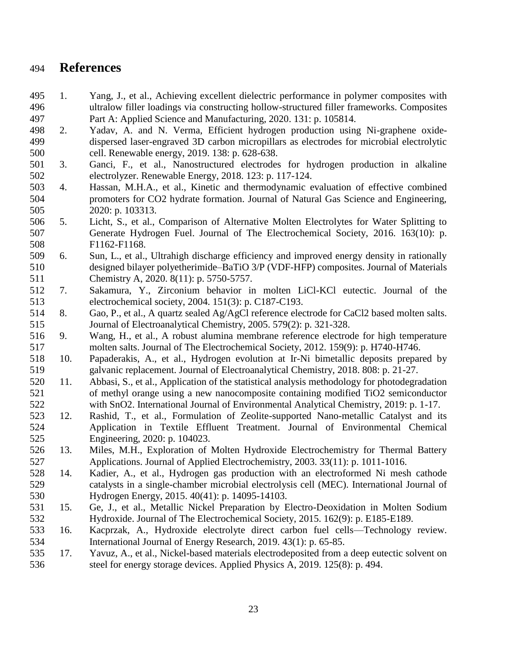## **References**

- 1. Yang, J., et al., Achieving excellent dielectric performance in polymer composites with ultralow filler loadings via constructing hollow-structured filler frameworks. Composites Part A: Applied Science and Manufacturing, 2020. 131: p. 105814.
- 2. Yadav, A. and N. Verma, Efficient hydrogen production using Ni-graphene oxide- dispersed laser-engraved 3D carbon micropillars as electrodes for microbial electrolytic cell. Renewable energy, 2019. 138: p. 628-638.
- 3. Ganci, F., et al., Nanostructured electrodes for hydrogen production in alkaline electrolyzer. Renewable Energy, 2018. 123: p. 117-124.
- 4. Hassan, M.H.A., et al., Kinetic and thermodynamic evaluation of effective combined promoters for CO2 hydrate formation. Journal of Natural Gas Science and Engineering, 2020: p. 103313.
- 5. Licht, S., et al., Comparison of Alternative Molten Electrolytes for Water Splitting to Generate Hydrogen Fuel. Journal of The Electrochemical Society, 2016. 163(10): p. F1162-F1168.
- 6. Sun, L., et al., Ultrahigh discharge efficiency and improved energy density in rationally designed bilayer polyetherimide–BaTiO 3/P (VDF-HFP) composites. Journal of Materials Chemistry A, 2020. 8(11): p. 5750-5757.
- 7. Sakamura, Y., Zirconium behavior in molten LiCl-KCl eutectic. Journal of the electrochemical society, 2004. 151(3): p. C187-C193.
- 8. Gao, P., et al., A quartz sealed Ag/AgCl reference electrode for CaCl2 based molten salts. Journal of Electroanalytical Chemistry, 2005. 579(2): p. 321-328.
- 9. Wang, H., et al., A robust alumina membrane reference electrode for high temperature molten salts. Journal of The Electrochemical Society, 2012. 159(9): p. H740-H746.
- 10. Papaderakis, A., et al., Hydrogen evolution at Ir-Ni bimetallic deposits prepared by galvanic replacement. Journal of Electroanalytical Chemistry, 2018. 808: p. 21-27.
- 11. Abbasi, S., et al., Application of the statistical analysis methodology for photodegradation of methyl orange using a new nanocomposite containing modified TiO2 semiconductor with SnO2. International Journal of Environmental Analytical Chemistry, 2019: p. 1-17.
- 12. Rashid, T., et al., Formulation of Zeolite-supported Nano-metallic Catalyst and its Application in Textile Effluent Treatment. Journal of Environmental Chemical Engineering, 2020: p. 104023.
- 13. Miles, M.H., Exploration of Molten Hydroxide Electrochemistry for Thermal Battery Applications. Journal of Applied Electrochemistry, 2003. 33(11): p. 1011-1016.
- 14. Kadier, A., et al., Hydrogen gas production with an electroformed Ni mesh cathode catalysts in a single-chamber microbial electrolysis cell (MEC). International Journal of Hydrogen Energy, 2015. 40(41): p. 14095-14103.
- 15. Ge, J., et al., Metallic Nickel Preparation by Electro-Deoxidation in Molten Sodium Hydroxide. Journal of The Electrochemical Society, 2015. 162(9): p. E185-E189.
- 16. Kacprzak, A., Hydroxide electrolyte direct carbon fuel cells—Technology review. International Journal of Energy Research, 2019. 43(1): p. 65-85.
- 17. Yavuz, A., et al., Nickel-based materials electrodeposited from a deep eutectic solvent on steel for energy storage devices. Applied Physics A, 2019. 125(8): p. 494.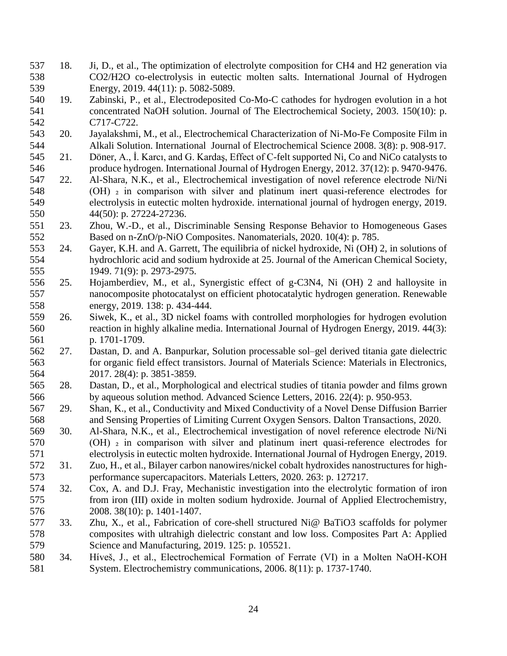- 18. Ji, D., et al., The optimization of electrolyte composition for CH4 and H2 generation via CO2/H2O co-electrolysis in eutectic molten salts. International Journal of Hydrogen 539 Energy, 2019. 44(11): p. 5082-5089.
- 19. Zabinski, P., et al., Electrodeposited Co-Mo-C cathodes for hydrogen evolution in a hot concentrated NaOH solution. Journal of The Electrochemical Society, 2003. 150(10): p. C717-C722.
- 20. Jayalakshmi, M., et al., Electrochemical Characterization of Ni-Mo-Fe Composite Film in Alkali Solution. International Journal of Electrochemical Science 2008. 3(8): p. 908-917.
- 21. Döner, A., İ. Karcı, and G. Kardaş, Effect of C-felt supported Ni, Co and NiCo catalysts to produce hydrogen. International Journal of Hydrogen Energy, 2012. 37(12): p. 9470-9476.
- 22. Al-Shara, N.K., et al., Electrochemical investigation of novel reference electrode Ni/Ni 548 (OH) <sup>2</sup> in comparison with silver and platinum inert quasi-reference electrodes for electrolysis in eutectic molten hydroxide. international journal of hydrogen energy, 2019. 44(50): p. 27224-27236.
- 23. Zhou, W.-D., et al., Discriminable Sensing Response Behavior to Homogeneous Gases Based on n-ZnO/p-NiO Composites. Nanomaterials, 2020. 10(4): p. 785.
- 24. Gayer, K.H. and A. Garrett, The equilibria of nickel hydroxide, Ni (OH) 2, in solutions of hydrochloric acid and sodium hydroxide at 25. Journal of the American Chemical Society, 1949. 71(9): p. 2973-2975.
- 25. Hojamberdiev, M., et al., Synergistic effect of g-C3N4, Ni (OH) 2 and halloysite in nanocomposite photocatalyst on efficient photocatalytic hydrogen generation. Renewable energy, 2019. 138: p. 434-444.
- 26. Siwek, K., et al., 3D nickel foams with controlled morphologies for hydrogen evolution reaction in highly alkaline media. International Journal of Hydrogen Energy, 2019. 44(3): p. 1701-1709.
- 27. Dastan, D. and A. Banpurkar, Solution processable sol–gel derived titania gate dielectric for organic field effect transistors. Journal of Materials Science: Materials in Electronics, 2017. 28(4): p. 3851-3859.
- 28. Dastan, D., et al., Morphological and electrical studies of titania powder and films grown by aqueous solution method. Advanced Science Letters, 2016. 22(4): p. 950-953.
- 29. Shan, K., et al., Conductivity and Mixed Conductivity of a Novel Dense Diffusion Barrier and Sensing Properties of Limiting Current Oxygen Sensors. Dalton Transactions, 2020.
- 30. Al-Shara, N.K., et al., Electrochemical investigation of novel reference electrode Ni/Ni 570 (OH)  $_2$  in comparison with silver and platinum inert quasi-reference electrodes for electrolysis in eutectic molten hydroxide. International Journal of Hydrogen Energy, 2019.
- 31. Zuo, H., et al., Bilayer carbon nanowires/nickel cobalt hydroxides nanostructures for high-performance supercapacitors. Materials Letters, 2020. 263: p. 127217.
- 32. Cox, A. and D.J. Fray, Mechanistic investigation into the electrolytic formation of iron from iron (III) oxide in molten sodium hydroxide. Journal of Applied Electrochemistry, 2008. 38(10): p. 1401-1407.
- 33. Zhu, X., et al., Fabrication of core-shell structured Ni@ BaTiO3 scaffolds for polymer composites with ultrahigh dielectric constant and low loss. Composites Part A: Applied Science and Manufacturing, 2019. 125: p. 105521.
- 34. Híveš, J., et al., Electrochemical Formation of Ferrate (VI) in a Molten NaOH-KOH System. Electrochemistry communications, 2006. 8(11): p. 1737-1740.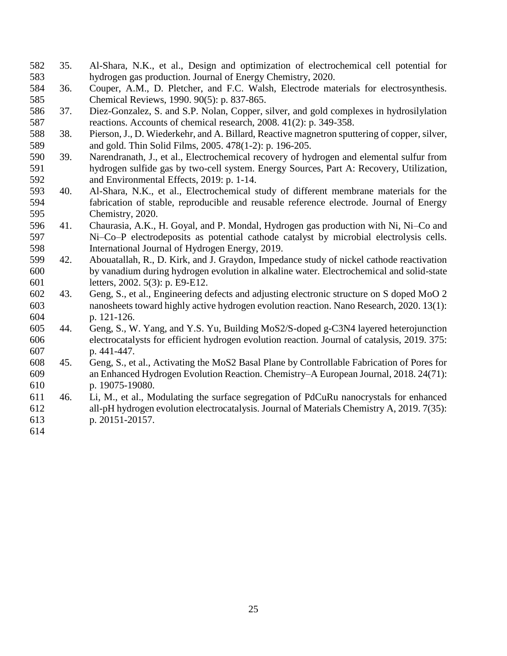- 35. Al-Shara, N.K., et al., Design and optimization of electrochemical cell potential for hydrogen gas production. Journal of Energy Chemistry, 2020.
- 36. Couper, A.M., D. Pletcher, and F.C. Walsh, Electrode materials for electrosynthesis. Chemical Reviews, 1990. 90(5): p. 837-865.
- 37. Diez-Gonzalez, S. and S.P. Nolan, Copper, silver, and gold complexes in hydrosilylation reactions. Accounts of chemical research, 2008. 41(2): p. 349-358.
- 38. Pierson, J., D. Wiederkehr, and A. Billard, Reactive magnetron sputtering of copper, silver, and gold. Thin Solid Films, 2005. 478(1-2): p. 196-205.
- 39. Narendranath, J., et al., Electrochemical recovery of hydrogen and elemental sulfur from hydrogen sulfide gas by two-cell system. Energy Sources, Part A: Recovery, Utilization, and Environmental Effects, 2019: p. 1-14.
- 40. Al-Shara, N.K., et al., Electrochemical study of different membrane materials for the fabrication of stable, reproducible and reusable reference electrode. Journal of Energy Chemistry, 2020.
- 41. Chaurasia, A.K., H. Goyal, and P. Mondal, Hydrogen gas production with Ni, Ni–Co and Ni–Co–P electrodeposits as potential cathode catalyst by microbial electrolysis cells. International Journal of Hydrogen Energy, 2019.
- 42. Abouatallah, R., D. Kirk, and J. Graydon, Impedance study of nickel cathode reactivation by vanadium during hydrogen evolution in alkaline water. Electrochemical and solid-state letters, 2002. 5(3): p. E9-E12.
- 43. Geng, S., et al., Engineering defects and adjusting electronic structure on S doped MoO 2 nanosheets toward highly active hydrogen evolution reaction. Nano Research, 2020. 13(1): p. 121-126.
- 44. Geng, S., W. Yang, and Y.S. Yu, Building MoS2/S-doped g-C3N4 layered heterojunction electrocatalysts for efficient hydrogen evolution reaction. Journal of catalysis, 2019. 375: p. 441-447.
- 45. Geng, S., et al., Activating the MoS2 Basal Plane by Controllable Fabrication of Pores for an Enhanced Hydrogen Evolution Reaction. Chemistry–A European Journal, 2018. 24(71): p. 19075-19080.
- 46. Li, M., et al., Modulating the surface segregation of PdCuRu nanocrystals for enhanced all-pH hydrogen evolution electrocatalysis. Journal of Materials Chemistry A, 2019. 7(35): p. 20151-20157.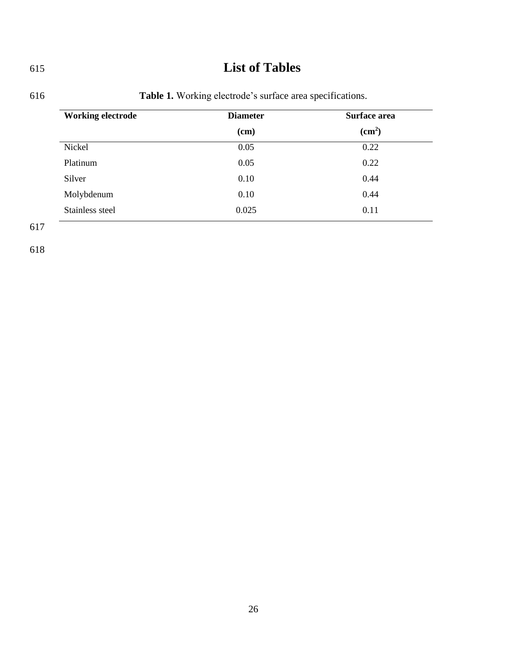# 615 **List of Tables**

<span id="page-25-0"></span>

| <b>Working electrode</b> | <b>Diameter</b> | Surface area<br>$\text{cm}^2$ |
|--------------------------|-----------------|-------------------------------|
|                          | $cm$ )          |                               |
| Nickel                   | 0.05            | 0.22                          |
| Platinum                 | 0.05            | 0.22                          |
| Silver                   | 0.10            | 0.44                          |
| Molybdenum               | 0.10            | 0.44                          |
| Stainless steel          | 0.025           | 0.11                          |

## 616 **Table 1.** Working electrode's surface area specifications.

617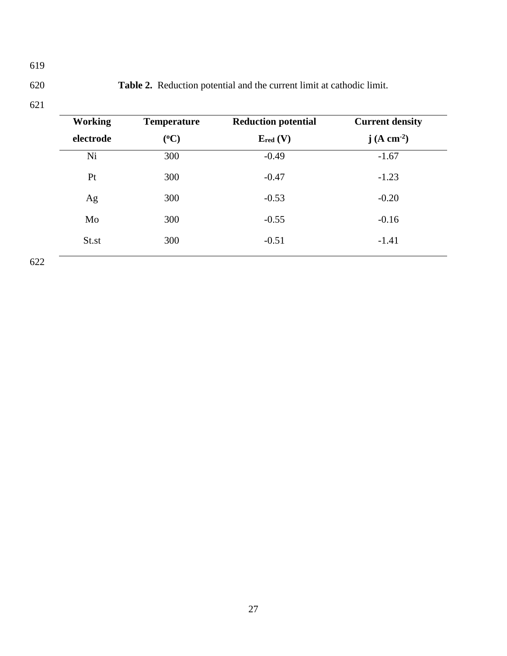<span id="page-26-0"></span>620 **Table 2.** Reduction potential and the current limit at cathodic limit.

621

| <b>Working</b> | <b>Temperature</b> | <b>Reduction potential</b> | <b>Current density</b>  |
|----------------|--------------------|----------------------------|-------------------------|
| electrode      | $(^{0}C)$          | $E_{red} (V)$              | j (A cm <sup>-2</sup> ) |
| Ni             | 300                | $-0.49$                    | $-1.67$                 |
| Pt             | 300                | $-0.47$                    | $-1.23$                 |
| Ag             | 300                | $-0.53$                    | $-0.20$                 |
| Mo             | 300                | $-0.55$                    | $-0.16$                 |
| St.st          | 300                | $-0.51$                    | $-1.41$                 |
|                |                    |                            |                         |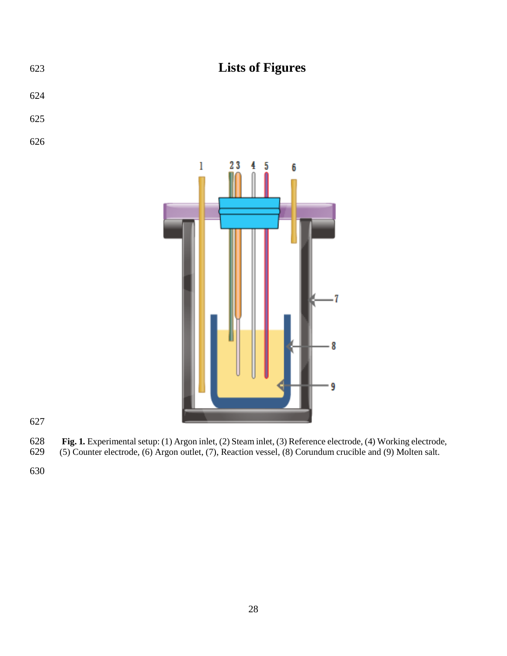

**Fig. 1***.* Experimental setup: (1) Argon inlet, (2) Steam inlet, (3) Reference electrode, (4) Working electrode, (5) Counter electrode, (6) Argon outlet, (7), Reaction vessel, (8) Corundum crucible and (9) Molten salt.

<span id="page-27-0"></span>(5) Counter electrode, (6) Argon outlet, (7), Reaction vessel, (8) Corundum crucible and (9) Molten salt.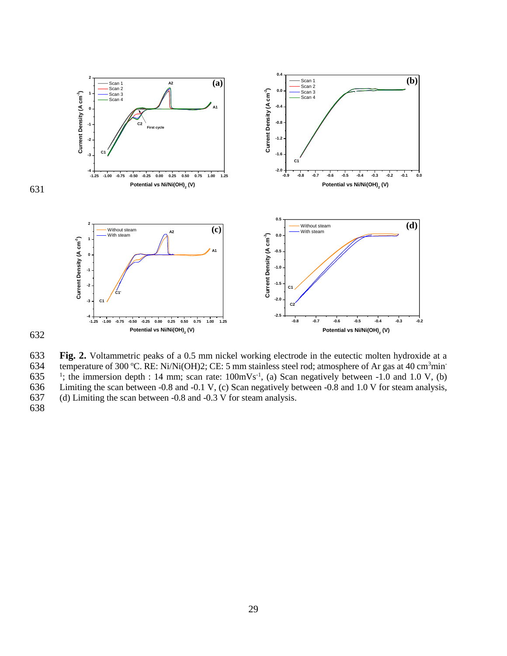

<span id="page-28-0"></span>**Fig. 2.** Voltammetric peaks of a 0.5 mm nickel working electrode in the eutectic molten hydroxide at a temperature of 300 °C. RE: Ni/Ni(OH)2; CE: 5 mm stainless steel rod; atmosphere of Ar gas at 40 cm<sup>3</sup>min temperature of 300 °C. RE: Ni/Ni(OH)2; CE: 5 mm stainless steel rod; atmosphere of Ar gas at 40 cm<sup>3</sup>min<sup>-</sup> 635 <sup>1</sup>; the immersion depth : 14 mm; scan rate:  $100 \text{mVs}^{-1}$ , (a) Scan negatively between -1.0 and 1.0 V, (b) 636 Limiting the scan between -0.8 and -0.1 V, (c) Scan negatively between -0.8 and 1.0 V for steam analysis, (d) Limiting the scan between -0.8 and -0.3 V for steam analysis. (d) Limiting the scan between  $-0.8$  and  $-0.3$  V for steam analysis.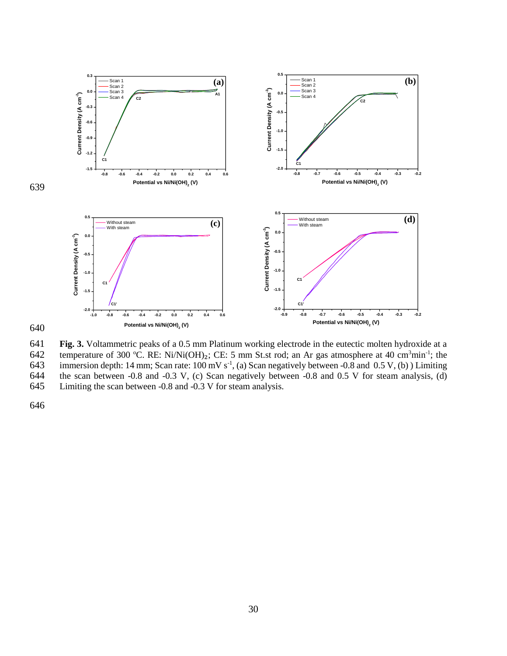

640

<span id="page-29-0"></span>641 **Fig. 3.** Voltammetric peaks of a 0.5 mm Platinum working electrode in the eutectic molten hydroxide at a temperature of 300 °C. RE: Ni/Ni(OH)<sub>2</sub>; CE: 5 mm St.st rod; an Ar gas atmosphere at 40 cm<sup>3</sup>min<sup>-1</sup>; the immersion depth: 14 mm; Scan rate: 100 mV s<sup>-1</sup>, (a) Scan negatively between -0.8 and 0.5 V, (b) ) Limiting 643 immersion depth: 14 mm; Scan rate:  $100 \text{ mV s}^{-1}$ , (a) Scan negatively between -0.8 and 0.5 V, (b) ) Limiting the scan between -0.8 and -0.3 V, (c) Scan negatively between -0.8 and 0.5 V for steam analysis, (d) the scan between -0.8 and -0.3 V, (c) Scan negatively between -0.8 and 0.5 V for steam analysis, (d) 645 Limiting the scan between -0.8 and -0.3 V for steam analysis.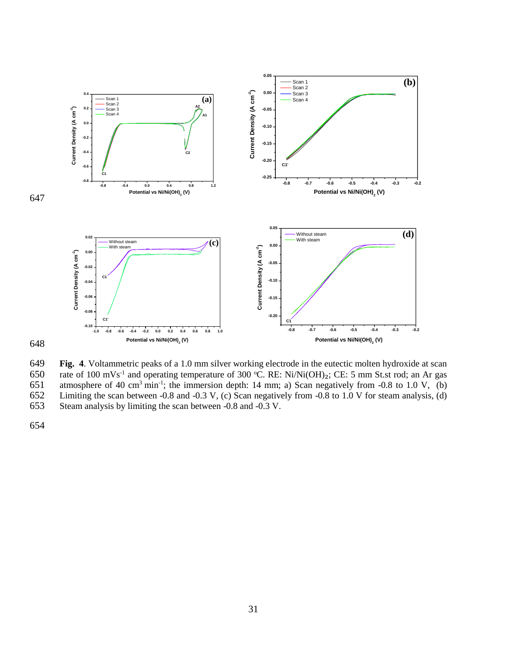

648

<span id="page-30-0"></span>649 **Fig. 4**. Voltammetric peaks of a 1.0 mm silver working electrode in the eutectic molten hydroxide at scan 650 rate of 100 mVs<sup>-1</sup> and operating temperature of 300 °C. RE: Ni/Ni(OH)<sub>2</sub>; CE: 5 mm St.st rod; an Ar gas 651 atmosphere of 40 cm<sup>3</sup> min<sup>-1</sup>; the immersion depth: 14 mm; a) Scan negatively from -0.8 to 1.0 V, (b) 652 Limiting the scan between -0.8 and -0.3 V, (c) Scan negatively from -0.8 to 1.0 V for steam analysis, (d) 653 Steam analysis by limiting the scan between -0.8 and -0.3 V.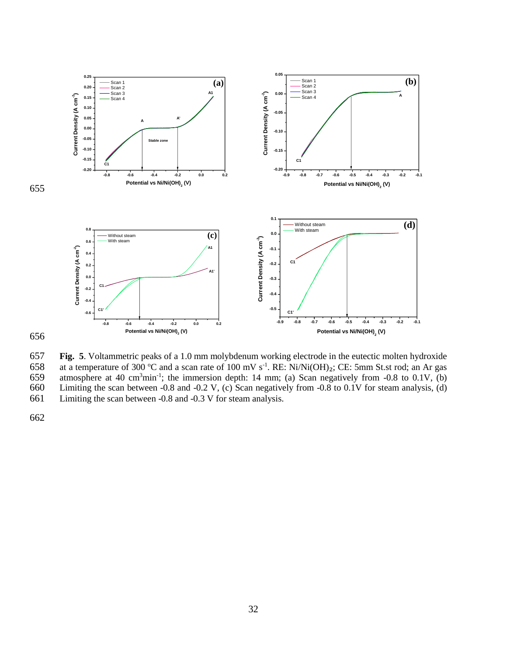



<span id="page-31-0"></span>657 **Fig. 5**. Voltammetric peaks of a 1.0 mm molybdenum working electrode in the eutectic molten hydroxide 658 at a temperature of 300 °C and a scan rate of 100 mV s<sup>-1</sup>. RE: Ni/Ni(OH)<sub>2</sub>; CE: 5mm St.st rod; an Ar gas 659 atmosphere at 40 cm<sup>3</sup>min<sup>-1</sup>; the immersion depth: 14 mm; (a) Scan negatively from -0.8 to 0.1V, (b) 660 Limiting the scan between -0.8 and -0.2 V, (c) Scan negatively from -0.8 to 0.1V for steam analysis, (d) 661 Limiting the scan between -0.8 and -0.3 V for steam analysis.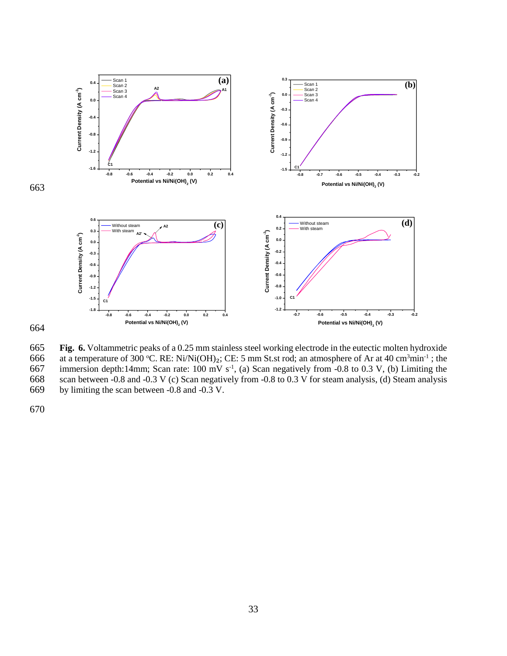

664

<span id="page-32-0"></span>665 **Fig. 6.** Voltammetric peaks of a 0.25 mm stainless steel working electrode in the eutectic molten hydroxide 666 at a temperature of 300 °C. RE: Ni/Ni(OH)<sub>2</sub>; CE: 5 mm St.st rod; an atmosphere of Ar at 40 cm<sup>3</sup>min<sup>-1</sup>; the immersion depth:14mm; Scan rate: 100 mV s<sup>-1</sup>, (a) Scan negatively from -0.8 to 0.3 V, (b) Limiting the 667 immersion depth:14mm; Scan rate:  $100 \text{ mV s}^{-1}$ , (a) Scan negatively from -0.8 to 0.3 V, (b) Limiting the scan between -0.8 and -0.3 V (c) Scan negatively from -0.8 to 0.3 V for steam analysis, (d) Steam analysis scan between -0.8 and -0.3 V (c) Scan negatively from -0.8 to 0.3 V for steam analysis, (d) Steam analysis 669 by limiting the scan between -0.8 and -0.3 V.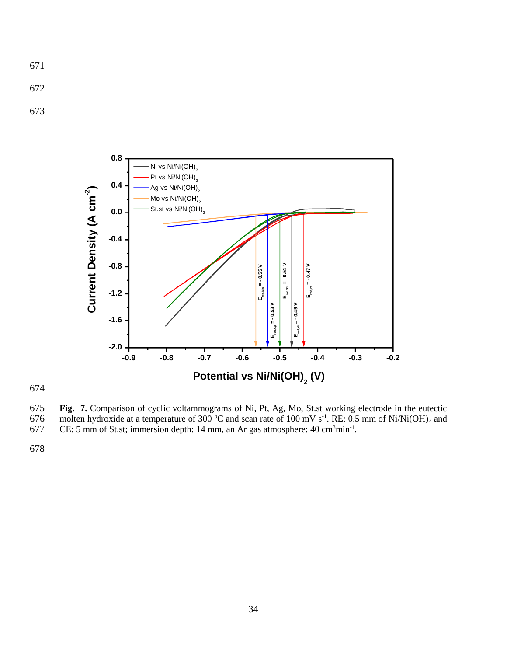- 671
- 672
- 673





<span id="page-33-0"></span>675 **Fig. 7.** Comparison of cyclic voltammograms of Ni, Pt, Ag, Mo, St.st working electrode in the eutectic 676 molten hydroxide at a temperature of 300 °C and scan rate of 100 mV s<sup>-1</sup>. RE: 0.5 mm of Ni/Ni(OH)<sub>2</sub> and CE: 5 mm of St.st; immersion depth: 14 mm, an Ar gas atmosphere: 40 cm<sup>3</sup>min<sup>-1</sup>.

- CE: 5 mm of St.st; immersion depth: 14 mm, an Ar gas atmosphere:  $40 \text{ cm}^3 \text{min}^{-1}$ .
- 678